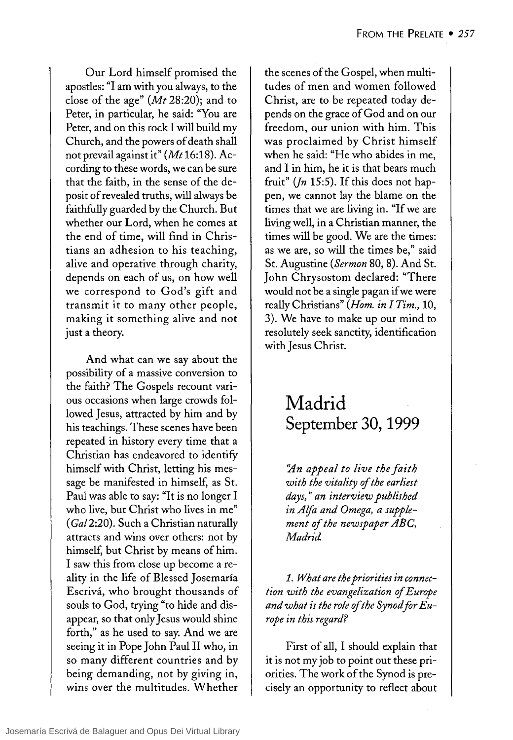Our Lord himself promised the apostles: "1 am with you always, to the close of the age" *(Mt* 28:20); and to Peter, in particular, he said: "You are Peter, and on this rock 1 will build my Church, and the powers of death shall not prevail against it" *(Mt16:18).* According to these words, we can be sure that the faith, in the sense of the deposit of revealed truths, will always be faithfully guarded by the Church. But whether our Lord, when he comes at the end of time, will find in Christians an adhesion to his teaching, alive and operative through charity, depends on each of us, on how well we correspond to God's gift and transmit it to many other people, making it something alive and not just a theory.

And what can we say about the possibility of a massive conversion to the faith? The Gospels recount various occasions when large crowds followed Jesus, attracted by him and by his teachings. These scenes have been repeated in history every time that a Christian has endeavored to identify himself with Christ, letting his message be manifested in himself, as St. Paul was able to say: "It is no longer 1 who live, but Christ who lives in me" (GaI2:20). Such a Christian naturally attracts and wins over others: not by himself, but Christ by means of him. 1 saw this from close up become a reality in the life of Blessed Josemaría Escrivá, who brought thousands of souls to God, trying "to hide and disappear, so that only Jesus would shine forth," as he used to say. And we are seeing it in Pope John Paul II who, in so many different countries and by being demanding, not by giving in, wins over the multitudes. Whether the scenes of the Gospel, when multitudes of men and women followed Christ, are to be repeated today depends on the grace of God and on our freedom, our union with him. This was proclaimed by Christ himself when he said: "He who abides in me, and 1 in him, he it is that bears much fruit" *(fn* 15:5). If this does not happen, we cannot lay the blame on the times that we are living in. "If we are living well, in a Christian manner, the times will be good. We are the times: as we are, so will the times be," said St. Augustine *(Sermon* 80, 8). And St. John Chrysostom declared: "There would not be a single pagan if we were really Christians" *(Hom. in 1 Tim., 10,*  3). We have to make up our mind to resolutely seek sanctity, identification with Jesus Christ.

## **Madrid September 30, 1999**

*':An appeal to live the faith with the vitality of the earliest days,* " *an interview published in Alfa and Omega, a supplement of the newspaper ABC*, *Madrid*.

*1. What are the priorities in connection with the evangelization of Europe and what is the role ofthe Synod for Eurape in this regard?* 

First of all, 1 should explain that it is not my job to point out these priorities. The work of the Synod is precisely an opportunity to reflect about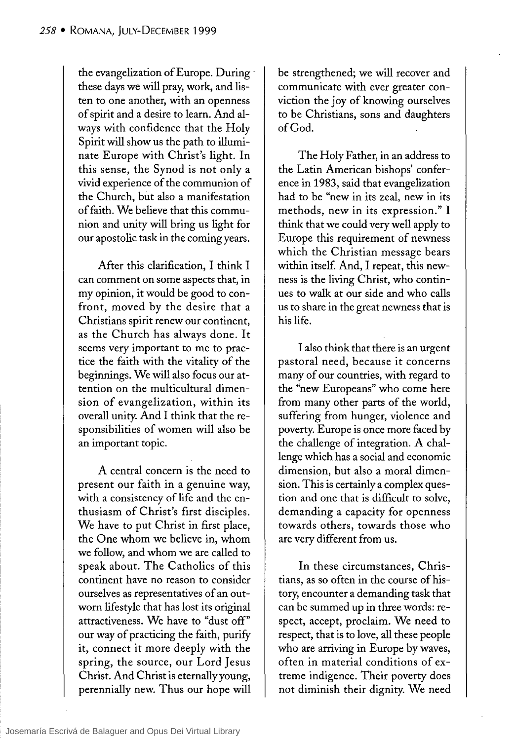the evangelization of Europe. During these days we will pray, work, and listen to one another, with an openness of spirit and a desire to learn. And always with confidence that the Holy Spirit will show us the path to illuminate Europe with Christ's light. In this sense, the Synod is not only a vivid experience of the communion of the Church, but also a manifestation of faith. We believe that this communion and unity will bring us light for our apostolic task in the coming years.

After this clarification, 1 think 1 can comment on sorne aspects that, in my opinion, it would be good to confront, moved by the desire that a Christians spirit renew our continent, as the Church has always done. It seems very important to me to practice the faith with the vitality of the beginnings. We will also focus our attention on the multicultural dimension of evangelization, within its overall unity. And 1 think that the responsibilities of women will also be an important topic.

A central concern is the need to present our faith in a genuine way, with a consistency of life and the enthusiasm of Christ's first disciples. We have to put Christ in first place, the One whom we believe in, whom we follow, and whom we are called to speak about. The Catholics of this continent have no reason to consider ourselves as representatives of an outworn lifestyle that has lost its original attractiveness. We have to "dust off" our way of practicing the faith, purifY it, connect it more deeply with the spring, the source, our Lord Jesus Christ. And Christ is eternally young, perennially new. Thus our hope will be strengthened; we will recover and communicate with ever greater conviction the joy of knowing ourselves to be Christians, sons and daughters ofGod.

The Holy Father, in an address to the Latin American bishops' conference in 1983, said that evangelization had to be "new in its zeal, new in its methods, new in its expression." 1 think that we could very well apply to Europe this requirement of newness which the Christian message bears within itself. And, 1 repeat, this newness is the living Christ, who continues to walk at our side and who calls us to share in the great newness that is his life.

1 also think that there is an urgent pastoral need, because it concerns many of our countries, with regard to the "new Europeans" who come here from many other parts of the world, suffering from hunger, violence and poverty. Europe is once more faced by the challenge of integration. A challenge which has a social and economic dimension, but also a moral dimension. This is certainlya complex question and one that is difficult to solve, demanding a capacity for openness towards others, towards those who are very different from us.

In these circumstances, Christians, as so often in the course of history, encounter a demanding task that can be summed up in three words: respect, accept, proclaim. We need to respect, that is to love, all these people who are arriving in Europe by waves, often in material conditions of extreme indigence. Their poverty does not diminish their dignity. We need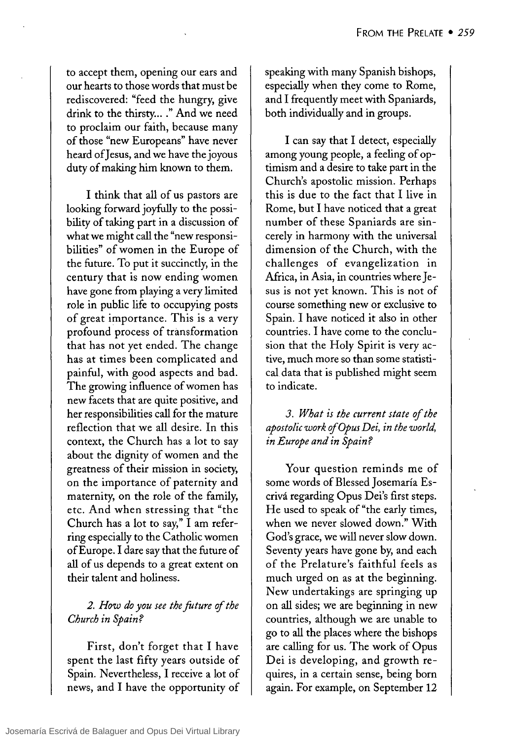to accept them, opening our ears and our hearts to those words that must be rediscovered: "feed the hungry, give drink to the thirsty...." And we need to proclaim our faith, because many of those "new Europeans" have never heard of] esus, and we have the joyous duty of making him known to them.

1 think that all of us pastors are looking forward joyfully to the possibility of taking part in a discussion of what we might call the "new responsibilities" of women in the Europe of the future. To put it succincdy, in the century that is now ending women have gone from playing a very limited role in public life to occupying posts of great importance. This is a very profound process of transformation that has not yet ended. The change has at times been complicated and painful, with good aspects and bad. The growing influence of women has new facets that are quite positive, and her responsibilities call for the mature reflection that we all desire. In this context, the Church has a lot to say about the dignity of women and the greatness of their mission in society, on the importance of paternity and maternity, on the role of the family, etc. And when stressing that "the Church has a lot to say," 1 am referring especially to the Catholic women ofEurope. 1 dare say that the future of all of us depends to a great extent on their talent and holiness.

## *2. How do you see the foture of the Church in Spain?*

First, don't forget that 1 have spent the last fifty years outside of Spain. Nevertheless, 1 receive a lot of news, and 1 have the opportunity of speaking with many Spanish bishops, especially when they come to Rome, and 1 frequendy meet with Spaniards, both individually and in groups.

I can say that I detect, especially among young people, a feeling of optimism and a desire to take part in the Church's apostolic mission. Perhaps this is due to the fact that 1 live in Rome, but 1 have noticed that a great number of these Spaniards are sincerely in harmony with the universal dimension of the Church, with the challenges of evangelization in Africa, in Asia, in countries where Jesus is not yet known. This is not of course something new or exclusive to Spain. 1 have noticed it also in other countries. 1 have come to the conclusion that the Holy Spirit is very active, much more so than some statistical data that is published might seem to indicate.

*3. What is the current state* of *the aposto/ic work ofOpus Dei, in the world, in Europe and in Spain?* 

Your question reminds me of sorne words of Blessed ] osemaría Escrivá regarding Opus Dei's first steps. He used to speak of "the early times, when we never slowed down." With God's grace, we will never slow down. Seventy years have gone by, and each of the Prelature's faithful feels as much urged on as at the beginning. New undertakings are springing up on all sides; we are beginning in new countries, although we are unable to go to all the places where the bishops are calling for us. The work of Opus Dei is developing, and growth requires, in a certain sense, being born again. For example, on September 12